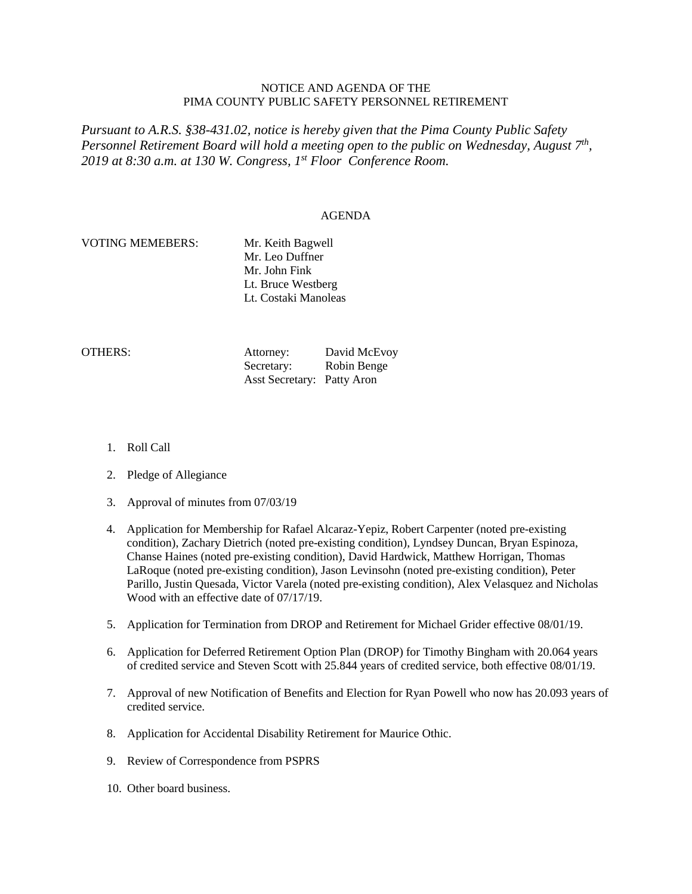## NOTICE AND AGENDA OF THE PIMA COUNTY PUBLIC SAFETY PERSONNEL RETIREMENT

*Pursuant to A.R.S. §38-431.02, notice is hereby given that the Pima County Public Safety Personnel Retirement Board will hold a meeting open to the public on Wednesday, August 7th, 2019 at 8:30 a.m. at 130 W. Congress, 1st Floor Conference Room.*

### AGENDA

# VOTING MEMEBERS: Mr. Keith Bagwell

Mr. Leo Duffner Mr. John Fink Lt. Bruce Westberg Lt. Costaki Manoleas

OTHERS: Attorney: David McEvoy Secretary: Robin Benge Asst Secretary: Patty Aron

- 1. Roll Call
- 2. Pledge of Allegiance
- 3. Approval of minutes from 07/03/19
- 4. Application for Membership for Rafael Alcaraz-Yepiz, Robert Carpenter (noted pre-existing condition), Zachary Dietrich (noted pre-existing condition), Lyndsey Duncan, Bryan Espinoza, Chanse Haines (noted pre-existing condition), David Hardwick, Matthew Horrigan, Thomas LaRoque (noted pre-existing condition), Jason Levinsohn (noted pre-existing condition), Peter Parillo, Justin Quesada, Victor Varela (noted pre-existing condition), Alex Velasquez and Nicholas Wood with an effective date of 07/17/19.
- 5. Application for Termination from DROP and Retirement for Michael Grider effective 08/01/19.
- 6. Application for Deferred Retirement Option Plan (DROP) for Timothy Bingham with 20.064 years of credited service and Steven Scott with 25.844 years of credited service, both effective 08/01/19.
- 7. Approval of new Notification of Benefits and Election for Ryan Powell who now has 20.093 years of credited service.
- 8. Application for Accidental Disability Retirement for Maurice Othic.
- 9. Review of Correspondence from PSPRS
- 10. Other board business.